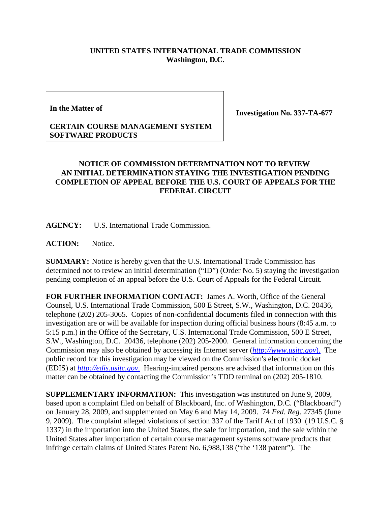## **UNITED STATES INTERNATIONAL TRADE COMMISSION Washington, D.C.**

**In the Matter of**

**Investigation No. 337-TA-677**

## **CERTAIN COURSE MANAGEMENT SYSTEM SOFTWARE PRODUCTS**

## **NOTICE OF COMMISSION DETERMINATION NOT TO REVIEW AN INITIAL DETERMINATION STAYING THE INVESTIGATION PENDING COMPLETION OF APPEAL BEFORE THE U.S. COURT OF APPEALS FOR THE FEDERAL CIRCUIT**

**AGENCY:** U.S. International Trade Commission.

**ACTION:** Notice.

**SUMMARY:** Notice is hereby given that the U.S. International Trade Commission has determined not to review an initial determination ("ID") (Order No. 5) staying the investigation pending completion of an appeal before the U.S. Court of Appeals for the Federal Circuit.

**FOR FURTHER INFORMATION CONTACT:** James A. Worth, Office of the General Counsel, U.S. International Trade Commission, 500 E Street, S.W., Washington, D.C. 20436, telephone (202) 205-3065. Copies of non-confidential documents filed in connection with this investigation are or will be available for inspection during official business hours (8:45 a.m. to 5:15 p.m.) in the Office of the Secretary, U.S. International Trade Commission, 500 E Street, S.W., Washington, D.C. 20436, telephone (202) 205-2000. General information concerning the Commission may also be obtained by accessing its Internet server (*http://www.usitc.gov*). The public record for this investigation may be viewed on the Commission's electronic docket (EDIS) at *http://edis.usitc.gov*. Hearing-impaired persons are advised that information on this matter can be obtained by contacting the Commission's TDD terminal on (202) 205-1810.

**SUPPLEMENTARY INFORMATION:** This investigation was instituted on June 9, 2009, based upon a complaint filed on behalf of Blackboard, Inc. of Washington, D.C. ("Blackboard") on January 28, 2009, and supplemented on May 6 and May 14, 2009. 74 *Fed. Reg*. 27345 (June 9, 2009). The complaint alleged violations of section 337 of the Tariff Act of 1930 (19 U.S.C. § 1337) in the importation into the United States, the sale for importation, and the sale within the United States after importation of certain course management systems software products that infringe certain claims of United States Patent No. 6,988,138 ("the '138 patent"). The